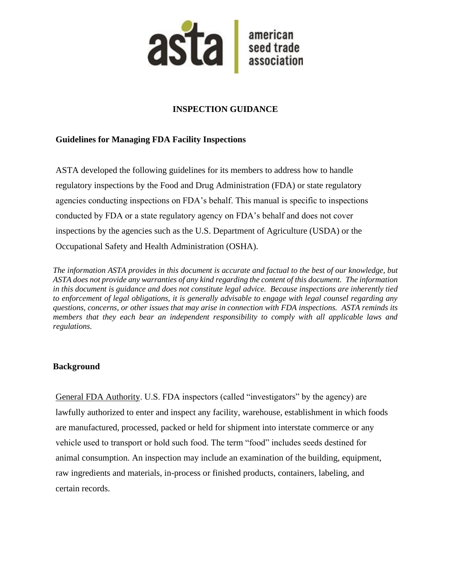

# **INSPECTION GUIDANCE**

## **Guidelines for Managing FDA Facility Inspections**

ASTA developed the following guidelines for its members to address how to handle regulatory inspections by the Food and Drug Administration (FDA) or state regulatory agencies conducting inspections on FDA's behalf. This manual is specific to inspections conducted by FDA or a state regulatory agency on FDA's behalf and does not cover inspections by the agencies such as the U.S. Department of Agriculture (USDA) or the Occupational Safety and Health Administration (OSHA).

*The information ASTA provides in this document is accurate and factual to the best of our knowledge, but ASTA does not provide any warranties of any kind regarding the content of this document. The information in this document is guidance and does not constitute legal advice. Because inspections are inherently tied to enforcement of legal obligations, it is generally advisable to engage with legal counsel regarding any questions, concerns, or other issues that may arise in connection with FDA inspections. ASTA reminds its members that they each bear an independent responsibility to comply with all applicable laws and regulations.*

## **Background**

General FDA Authority. U.S. FDA inspectors (called "investigators" by the agency) are lawfully authorized to enter and inspect any facility, warehouse, establishment in which foods are manufactured, processed, packed or held for shipment into interstate commerce or any vehicle used to transport or hold such food. The term "food" includes seeds destined for animal consumption. An inspection may include an examination of the building, equipment, raw ingredients and materials, in-process or finished products, containers, labeling, and certain records.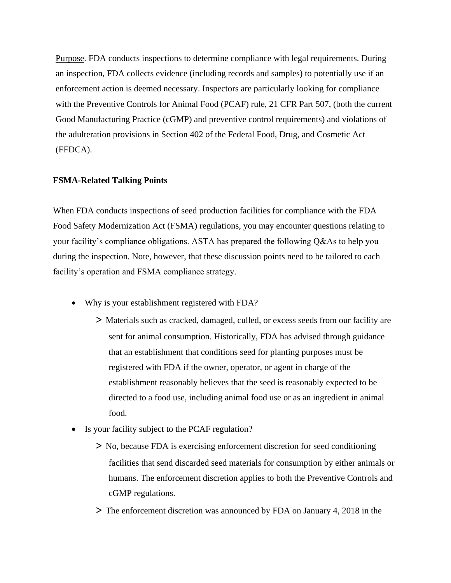Purpose. FDA conducts inspections to determine compliance with legal requirements. During an inspection, FDA collects evidence (including records and samples) to potentially use if an enforcement action is deemed necessary. Inspectors are particularly looking for compliance with the Preventive Controls for Animal Food (PCAF) rule, 21 CFR Part 507, (both the current Good Manufacturing Practice (cGMP) and preventive control requirements) and violations of the adulteration provisions in Section 402 of the Federal Food, Drug, and Cosmetic Act (FFDCA).

#### **FSMA-Related Talking Points**

When FDA conducts inspections of seed production facilities for compliance with the FDA Food Safety Modernization Act (FSMA) regulations, you may encounter questions relating to your facility's compliance obligations. ASTA has prepared the following Q&As to help you during the inspection. Note, however, that these discussion points need to be tailored to each facility's operation and FSMA compliance strategy.

- Why is your establishment registered with FDA?
	- > Materials such as cracked, damaged, culled, or excess seeds from our facility are sent for animal consumption. Historically, FDA has advised through guidance that an establishment that conditions seed for planting purposes must be registered with FDA if the owner, operator, or agent in charge of the establishment reasonably believes that the seed is reasonably expected to be directed to a food use, including animal food use or as an ingredient in animal food.
- Is your facility subject to the PCAF regulation?
	- > No, because FDA is exercising enforcement discretion for seed conditioning facilities that send discarded seed materials for consumption by either animals or humans. The enforcement discretion applies to both the Preventive Controls and cGMP regulations.
	- > The enforcement discretion was announced by FDA on January 4, 2018 in the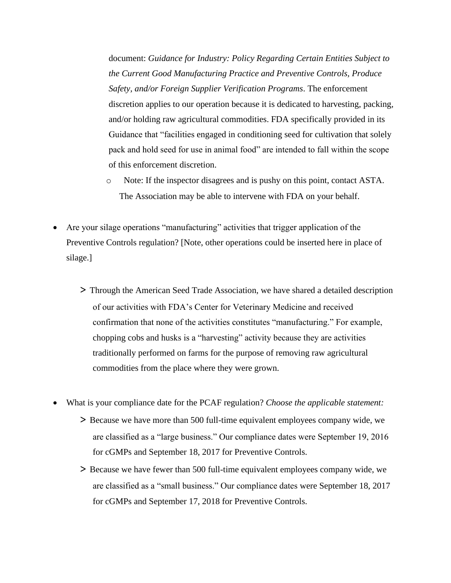document: *Guidance for Industry: Policy Regarding Certain Entities Subject to the Current Good Manufacturing Practice and Preventive Controls, Produce Safety, and/or Foreign Supplier Verification Programs*. The enforcement discretion applies to our operation because it is dedicated to harvesting, packing, and/or holding raw agricultural commodities. FDA specifically provided in its Guidance that "facilities engaged in conditioning seed for cultivation that solely pack and hold seed for use in animal food" are intended to fall within the scope of this enforcement discretion.

- o Note: If the inspector disagrees and is pushy on this point, contact ASTA. The Association may be able to intervene with FDA on your behalf.
- Are your silage operations "manufacturing" activities that trigger application of the Preventive Controls regulation? [Note, other operations could be inserted here in place of silage.]
	- > Through the American Seed Trade Association, we have shared a detailed description of our activities with FDA's Center for Veterinary Medicine and received confirmation that none of the activities constitutes "manufacturing." For example, chopping cobs and husks is a "harvesting" activity because they are activities traditionally performed on farms for the purpose of removing raw agricultural commodities from the place where they were grown.
- What is your compliance date for the PCAF regulation? *Choose the applicable statement:*
	- > Because we have more than 500 full-time equivalent employees company wide, we are classified as a "large business." Our compliance dates were September 19, 2016 for cGMPs and September 18, 2017 for Preventive Controls.
	- > Because we have fewer than 500 full-time equivalent employees company wide, we are classified as a "small business." Our compliance dates were September 18, 2017 for cGMPs and September 17, 2018 for Preventive Controls.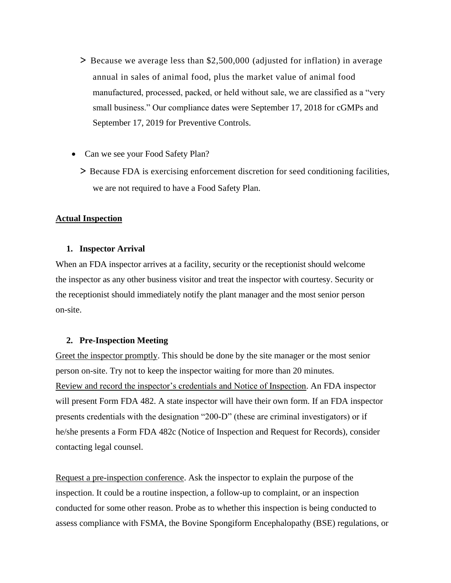- > Because we average less than \$2,500,000 (adjusted for inflation) in average annual in sales of animal food, plus the market value of animal food manufactured, processed, packed, or held without sale, we are classified as a "very small business." Our compliance dates were September 17, 2018 for cGMPs and September 17, 2019 for Preventive Controls.
- Can we see your Food Safety Plan?
	- > Because FDA is exercising enforcement discretion for seed conditioning facilities, we are not required to have a Food Safety Plan.

#### **Actual Inspection**

#### **1. Inspector Arrival**

When an FDA inspector arrives at a facility, security or the receptionist should welcome the inspector as any other business visitor and treat the inspector with courtesy. Security or the receptionist should immediately notify the plant manager and the most senior person on-site.

#### **2. Pre-Inspection Meeting**

Greet the inspector promptly. This should be done by the site manager or the most senior person on-site. Try not to keep the inspector waiting for more than 20 minutes. Review and record the inspector's credentials and Notice of Inspection. An FDA inspector will present Form FDA 482. A state inspector will have their own form. If an FDA inspector presents credentials with the designation "200-D" (these are criminal investigators) or if he/she presents a Form FDA 482c (Notice of Inspection and Request for Records), consider contacting legal counsel.

Request a pre-inspection conference. Ask the inspector to explain the purpose of the inspection. It could be a routine inspection, a follow-up to complaint, or an inspection conducted for some other reason. Probe as to whether this inspection is being conducted to assess compliance with FSMA, the Bovine Spongiform Encephalopathy (BSE) regulations, or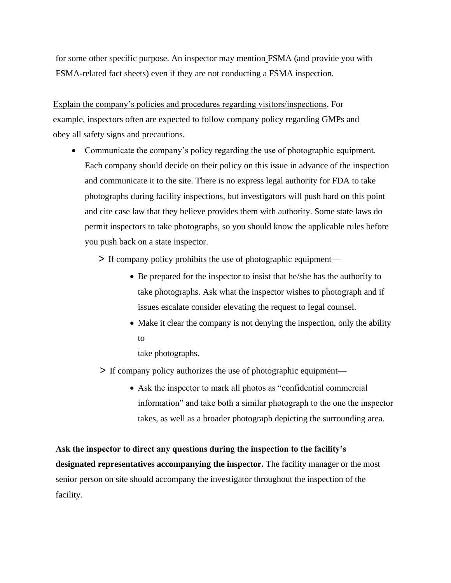for some other specific purpose. An inspector may mention FSMA (and provide you with FSMA-related fact sheets) even if they are not conducting a FSMA inspection.

Explain the company's policies and procedures regarding visitors/inspections. For example, inspectors often are expected to follow company policy regarding GMPs and obey all safety signs and precautions.

- Communicate the company's policy regarding the use of photographic equipment. Each company should decide on their policy on this issue in advance of the inspection and communicate it to the site. There is no express legal authority for FDA to take photographs during facility inspections, but investigators will push hard on this point and cite case law that they believe provides them with authority. Some state laws do permit inspectors to take photographs, so you should know the applicable rules before you push back on a state inspector.
	- > If company policy prohibits the use of photographic equipment—
		- Be prepared for the inspector to insist that he/she has the authority to take photographs. Ask what the inspector wishes to photograph and if issues escalate consider elevating the request to legal counsel.
		- Make it clear the company is not denying the inspection, only the ability to
			- take photographs.
	- > If company policy authorizes the use of photographic equipment—
		- Ask the inspector to mark all photos as "confidential commercial information" and take both a similar photograph to the one the inspector takes, as well as a broader photograph depicting the surrounding area.

**Ask the inspector to direct any questions during the inspection to the facility's designated representatives accompanying the inspector.** The facility manager or the most senior person on site should accompany the investigator throughout the inspection of the facility.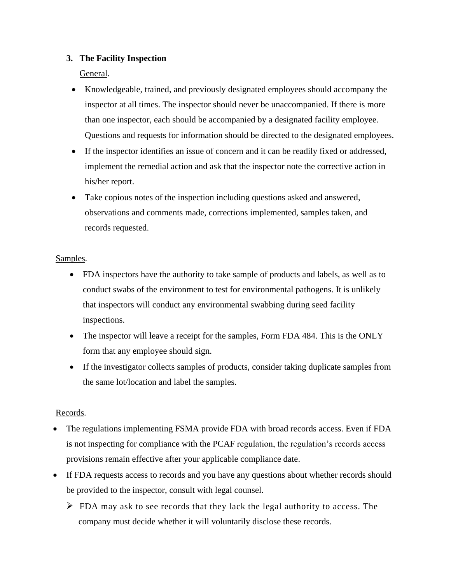## **3. The Facility Inspection**

General.

- Knowledgeable, trained, and previously designated employees should accompany the inspector at all times. The inspector should never be unaccompanied. If there is more than one inspector, each should be accompanied by a designated facility employee. Questions and requests for information should be directed to the designated employees.
- If the inspector identifies an issue of concern and it can be readily fixed or addressed, implement the remedial action and ask that the inspector note the corrective action in his/her report.
- Take copious notes of the inspection including questions asked and answered, observations and comments made, corrections implemented, samples taken, and records requested.

## Samples.

- FDA inspectors have the authority to take sample of products and labels, as well as to conduct swabs of the environment to test for environmental pathogens. It is unlikely that inspectors will conduct any environmental swabbing during seed facility inspections.
- The inspector will leave a receipt for the samples, Form FDA 484. This is the ONLY form that any employee should sign.
- If the investigator collects samples of products, consider taking duplicate samples from the same lot/location and label the samples.

## Records.

- The regulations implementing FSMA provide FDA with broad records access. Even if FDA is not inspecting for compliance with the PCAF regulation, the regulation's records access provisions remain effective after your applicable compliance date.
- If FDA requests access to records and you have any questions about whether records should be provided to the inspector, consult with legal counsel.
	- $\triangleright$  FDA may ask to see records that they lack the legal authority to access. The company must decide whether it will voluntarily disclose these records.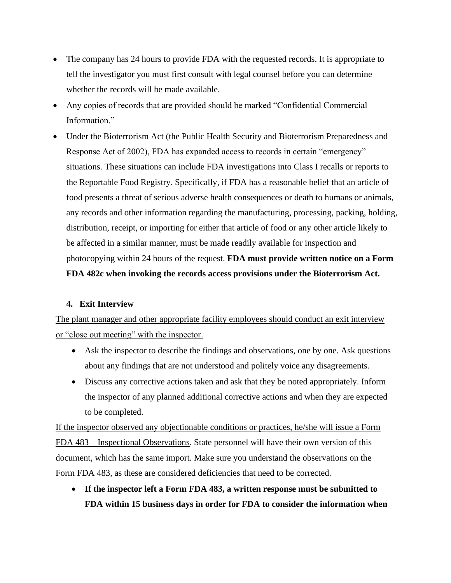- The company has 24 hours to provide FDA with the requested records. It is appropriate to tell the investigator you must first consult with legal counsel before you can determine whether the records will be made available.
- Any copies of records that are provided should be marked "Confidential Commercial Information."
- Under the Bioterrorism Act (the Public Health Security and Bioterrorism Preparedness and Response Act of 2002), FDA has expanded access to records in certain "emergency" situations. These situations can include FDA investigations into Class I recalls or reports to the Reportable Food Registry. Specifically, if FDA has a reasonable belief that an article of food presents a threat of serious adverse health consequences or death to humans or animals, any records and other information regarding the manufacturing, processing, packing, holding, distribution, receipt, or importing for either that article of food or any other article likely to be affected in a similar manner, must be made readily available for inspection and photocopying within 24 hours of the request. **FDA must provide written notice on a Form FDA 482c when invoking the records access provisions under the Bioterrorism Act.**

#### **4. Exit Interview**

The plant manager and other appropriate facility employees should conduct an exit interview or "close out meeting" with the inspector.

- Ask the inspector to describe the findings and observations, one by one. Ask questions about any findings that are not understood and politely voice any disagreements.
- Discuss any corrective actions taken and ask that they be noted appropriately. Inform the inspector of any planned additional corrective actions and when they are expected to be completed.

If the inspector observed any objectionable conditions or practices, he/she will issue a Form FDA 483—Inspectional Observations. State personnel will have their own version of this document, which has the same import. Make sure you understand the observations on the Form FDA 483, as these are considered deficiencies that need to be corrected.

• **If the inspector left a Form FDA 483, a written response must be submitted to FDA within 15 business days in order for FDA to consider the information when**